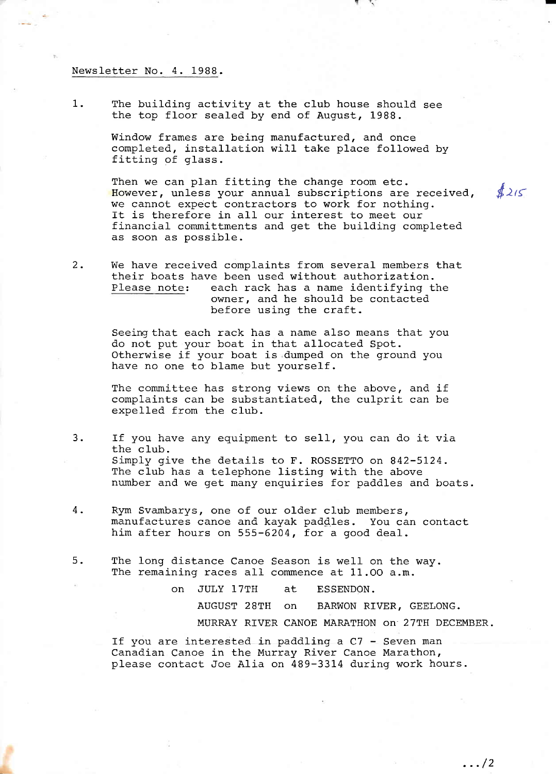## Newsletter No. 4. 1988-

1. The building activity at the club house should see the top floor sealed by end of August, 1988.

> Window frames are being manufactured, and once completed, installation will take place followed by fitting of glass.

Then we can plan fitting the change room etc. However, unless your annual subscriptions are received,  $\oint 2/5$ we cannot expect contractors to work for nothing. It is therefore in all our interest to meet our financial committments and get the building completed as soon as possible.

2. We have received complaints from several members that their boats have been used without authorization.<br>Please note: each rack has a name identifying t each rack has a name identifying the owner, and he should be contacted before using the craft.

> Seeing that each rack has a name also means that you do not put your boat in that allocated Spot. Otherwise if your boat is dumped on the ground you have no one to blame but yourself.

> The committee has strong views on the above, and if complaints can be substantiated, the culprit can be expelled from the c1ub.

- 3. If you have any equipment to sel1, you can do it via the club. Simply give the details to F. ROSSETTO on 842-5124. The club has a telephone listing with the above number and we get many enquiries for paddles and boats.
- 4. Rym Svambarys, one of our older club members, manufactures canoe and kayak paddles. You can contact him after hours on 555-6204, for a good deal.
- 5. The long distance Canoe Season is well on the way. The remaining races all commence at  $11.00$  a.m.

on JULY 17TH at ESSENDON. AUGUST 28TH on BARWON RIVER, GEELONG. MURRAY RIVER CANOE MARATHON on 27TH DECEMBER.

If you are interested in paddling a  $C7$  - Seven man Canadian Canoe in the Murray River Canoe Marathon, please contact Joe Alia on 489-3314 during work hours.